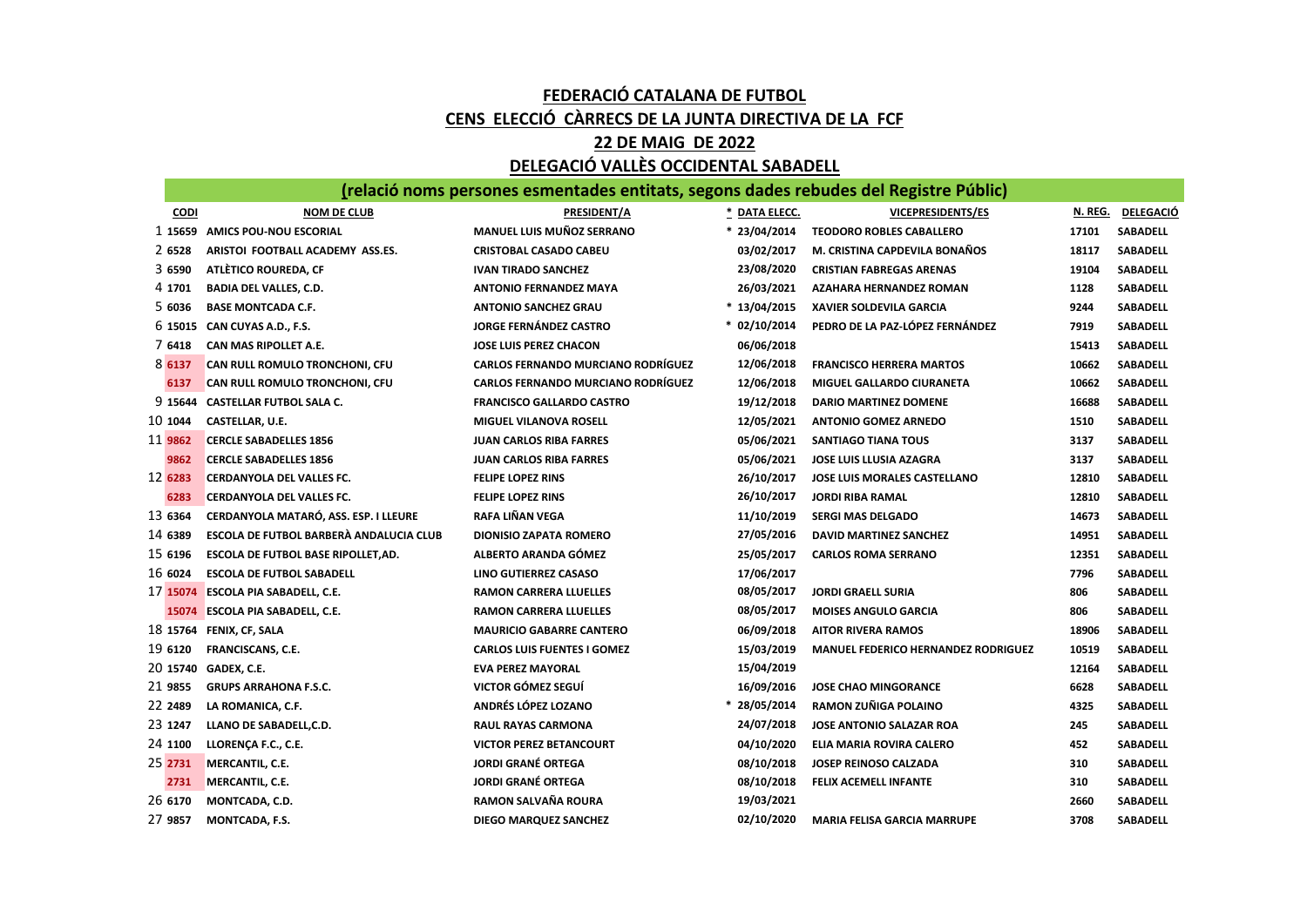## FEDERACIÓ CATALANA DE FUTBOL CENS ELECCIÓ CÀRRECS DE LA JUNTA DIRECTIVA DE LA FCF 22 DE MAIG DE 2022

## DELEGACIÓ VALLÈS OCCIDENTAL SABADELL

(relació noms persones esmentades entitats, segons dades rebudes del Registre Públic)

| <b>CODI</b> | <b>NOM DE CLUB</b>                      | <b>PRESIDENT/A</b>                        | * DATA ELECC.  | <b>VICEPRESIDENTS/ES</b>                   | N. REG. | <b>DELEGACIÓ</b> |
|-------------|-----------------------------------------|-------------------------------------------|----------------|--------------------------------------------|---------|------------------|
|             | 1 15659 AMICS POU-NOU ESCORIAL          | <b>MANUEL LUIS MUÑOZ SERRANO</b>          | $* 23/04/2014$ | <b>TEODORO ROBLES CABALLERO</b>            | 17101   | SABADELL         |
| 2 6528      | ARISTOI FOOTBALL ACADEMY ASS.ES.        | <b>CRISTOBAL CASADO CABEU</b>             | 03/02/2017     | M. CRISTINA CAPDEVILA BONAÑOS              | 18117   | <b>SABADELL</b>  |
| 3 6590      | ATLÈTICO ROUREDA, CF                    | <b>IVAN TIRADO SANCHEZ</b>                | 23/08/2020     | <b>CRISTIAN FABREGAS ARENAS</b>            | 19104   | <b>SABADELL</b>  |
| 4 1701      | <b>BADIA DEL VALLES, C.D.</b>           | <b>ANTONIO FERNANDEZ MAYA</b>             | 26/03/2021     | <b>AZAHARA HERNANDEZ ROMAN</b>             | 1128    | <b>SABADELL</b>  |
| 5 6036      | <b>BASE MONTCADA C.F.</b>               | <b>ANTONIO SANCHEZ GRAU</b>               | * 13/04/2015   | <b>XAVIER SOLDEVILA GARCIA</b>             | 9244    | <b>SABADELL</b>  |
| 6 15015     | CAN CUYAS A.D., F.S.                    | <b>JORGE FERNÁNDEZ CASTRO</b>             | * 02/10/2014   | PEDRO DE LA PAZ-LÓPEZ FERNÁNDEZ            | 7919    | <b>SABADELL</b>  |
| 7 6418      | CAN MAS RIPOLLET A.E.                   | <b>JOSE LUIS PEREZ CHACON</b>             | 06/06/2018     |                                            | 15413   | <b>SABADELL</b>  |
| 8 6137      | CAN RULL ROMULO TRONCHONI, CFU          | <b>CARLOS FERNANDO MURCIANO RODRÍGUEZ</b> | 12/06/2018     | <b>FRANCISCO HERRERA MARTOS</b>            | 10662   | <b>SABADELL</b>  |
| 6137        | CAN RULL ROMULO TRONCHONI, CFU          | <b>CARLOS FERNANDO MURCIANO RODRÍGUEZ</b> | 12/06/2018     | MIGUEL GALLARDO CIURANETA                  | 10662   | SABADELL         |
| 9 15 644    | <b>CASTELLAR FUTBOL SALA C.</b>         | <b>FRANCISCO GALLARDO CASTRO</b>          | 19/12/2018     | <b>DARIO MARTINEZ DOMENE</b>               | 16688   | <b>SABADELL</b>  |
| 10 1044     | CASTELLAR, U.E.                         | <b>MIGUEL VILANOVA ROSELL</b>             | 12/05/2021     | <b>ANTONIO GOMEZ ARNEDO</b>                | 1510    | SABADELL         |
| 11 9862     | <b>CERCLE SABADELLES 1856</b>           | <b>JUAN CARLOS RIBA FARRES</b>            | 05/06/2021     | <b>SANTIAGO TIANA TOUS</b>                 | 3137    | <b>SABADELL</b>  |
| 9862        | <b>CERCLE SABADELLES 1856</b>           | <b>JUAN CARLOS RIBA FARRES</b>            | 05/06/2021     | JOSE LUIS LLUSIA AZAGRA                    | 3137    | <b>SABADELL</b>  |
| 12 6283     | CERDANYOLA DEL VALLES FC.               | <b>FELIPE LOPEZ RINS</b>                  | 26/10/2017     | JOSE LUIS MORALES CASTELLANO               | 12810   | SABADELL         |
| 6283        | <b>CERDANYOLA DEL VALLES FC.</b>        | <b>FELIPE LOPEZ RINS</b>                  | 26/10/2017     | <b>JORDI RIBA RAMAL</b>                    | 12810   | <b>SABADELL</b>  |
| 13 6364     | CERDANYOLA MATARÓ, ASS. ESP. I LLEURE   | RAFA LIÑAN VEGA                           | 11/10/2019     | <b>SERGI MAS DELGADO</b>                   | 14673   | SABADELL         |
| 14 6389     | ESCOLA DE FUTBOL BARBERÀ ANDALUCIA CLUB | <b>DIONISIO ZAPATA ROMERO</b>             | 27/05/2016     | DAVID MARTINEZ SANCHEZ                     | 14951   | SABADELL         |
| 15 6196     | ESCOLA DE FUTBOL BASE RIPOLLET, AD.     | ALBERTO ARANDA GÓMEZ                      | 25/05/2017     | <b>CARLOS ROMA SERRANO</b>                 | 12351   | <b>SABADELL</b>  |
| 16 6024     | <b>ESCOLA DE FUTBOL SABADELL</b>        | <b>LINO GUTIERREZ CASASO</b>              | 17/06/2017     |                                            | 7796    | <b>SABADELL</b>  |
| 17 15074    | <b>ESCOLA PIA SABADELL, C.E.</b>        | <b>RAMON CARRERA LLUELLES</b>             | 08/05/2017     | <b>JORDI GRAELL SURIA</b>                  | 806     | <b>SABADELL</b>  |
|             | 15074 ESCOLA PIA SABADELL, C.E.         | <b>RAMON CARRERA LLUELLES</b>             | 08/05/2017     | <b>MOISES ANGULO GARCIA</b>                | 806     | <b>SABADELL</b>  |
| 18 15764    | FENIX, CF, SALA                         | <b>MAURICIO GABARRE CANTERO</b>           | 06/09/2018     | <b>AITOR RIVERA RAMOS</b>                  | 18906   | <b>SABADELL</b>  |
| 19 6120     | <b>FRANCISCANS, C.E.</b>                | <b>CARLOS LUIS FUENTES I GOMEZ</b>        | 15/03/2019     | <b>MANUEL FEDERICO HERNANDEZ RODRIGUEZ</b> | 10519   | <b>SABADELL</b>  |
| 20 15740    | GADEX, C.E.                             | <b>EVA PEREZ MAYORAL</b>                  | 15/04/2019     |                                            | 12164   | SABADELL         |
| 21 9855     | <b>GRUPS ARRAHONA F.S.C.</b>            | VICTOR GÓMEZ SEGUÍ                        | 16/09/2016     | <b>JOSE CHAO MINGORANCE</b>                | 6628    | <b>SABADELL</b>  |
| 22 2489     | LA ROMANICA, C.F.                       | ANDRÉS LÓPEZ LOZANO                       | * 28/05/2014   | RAMON ZUÑIGA POLAINO                       | 4325    | <b>SABADELL</b>  |
| 23 1247     | LLANO DE SABADELL, C.D.                 | <b>RAUL RAYAS CARMONA</b>                 | 24/07/2018     | <b>JOSE ANTONIO SALAZAR ROA</b>            | 245     | <b>SABADELL</b>  |
| 24 1100     | LLORENÇA F.C., C.E.                     | <b>VICTOR PEREZ BETANCOURT</b>            | 04/10/2020     | ELIA MARIA ROVIRA CALERO                   | 452     | SABADELL         |
| 25 2731     | MERCANTIL, C.E.                         | <b>JORDI GRANÉ ORTEGA</b>                 | 08/10/2018     | JOSEP REINOSO CALZADA                      | 310     | <b>SABADELL</b>  |
| 2731        | MERCANTIL, C.E.                         | <b>JORDI GRANÉ ORTEGA</b>                 | 08/10/2018     | <b>FELIX ACEMELL INFANTE</b>               | 310     | <b>SABADELL</b>  |
| 26 6170     | MONTCADA, C.D.                          | <b>RAMON SALVAÑA ROURA</b>                | 19/03/2021     |                                            | 2660    | <b>SABADELL</b>  |
| 27 9857     | MONTCADA, F.S.                          | DIEGO MARQUEZ SANCHEZ                     | 02/10/2020     | <b>MARIA FELISA GARCIA MARRUPE</b>         | 3708    | <b>SABADELL</b>  |